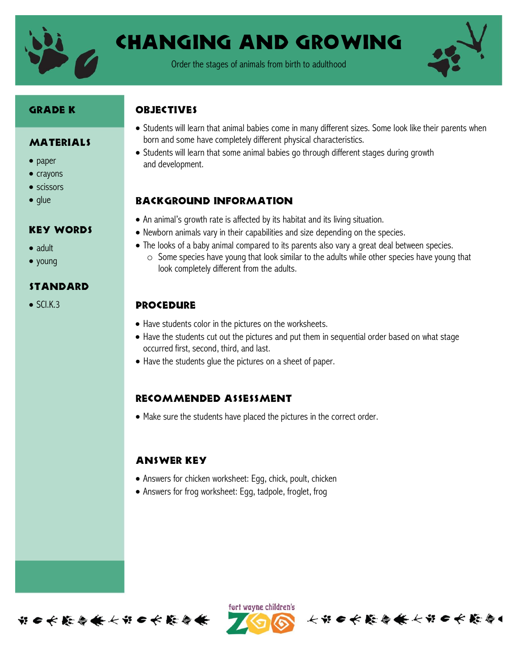

# Changing and Growing

Order the stages of animals from birth to adulthood



#### Grade K

#### MATERIALS

- paper
- $\bullet$  crayons
- scissors
- $\bullet$  qlue

# Key Words

- adult
- young

# standard

 $\bullet$  SCI.K.3

# **OBJECTIVES**

- Students will learn that animal babies come in many different sizes. Some look like their parents when born and some have completely different physical characteristics.
- Students will learn that some animal babies go through different stages during growth and development.

#### Background information

- An animal's growth rate is affected by its habitat and its living situation.
- Newborn animals vary in their capabilities and size depending on the species.
- The looks of a baby animal compared to its parents also vary a great deal between species.
	- o Some species have young that look similar to the adults while other species have young that look completely different from the adults.

# **PROCEDURE**

- Have students color in the pictures on the worksheets.
- Have the students cut out the pictures and put them in sequential order based on what stage occurred first, second, third, and last.
- Have the students glue the pictures on a sheet of paper.

#### Recommended assessment

Make sure the students have placed the pictures in the correct order.

# Answer key

- Answers for chicken worksheet: Egg, chick, poult, chicken
- Answers for frog worksheet: Egg, tadpole, froglet, frog



ført wayne children's

长节日长能会长长节日长能会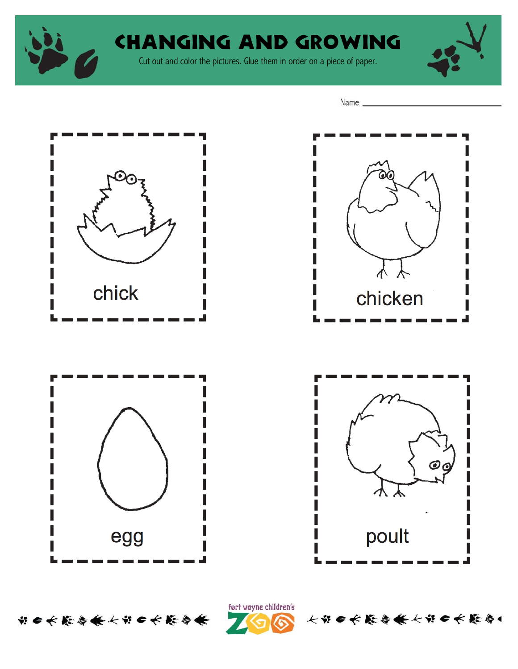

# Changing and growing

Cut out and color the pictures. Glue them in order on a piece of paper.



Name \_